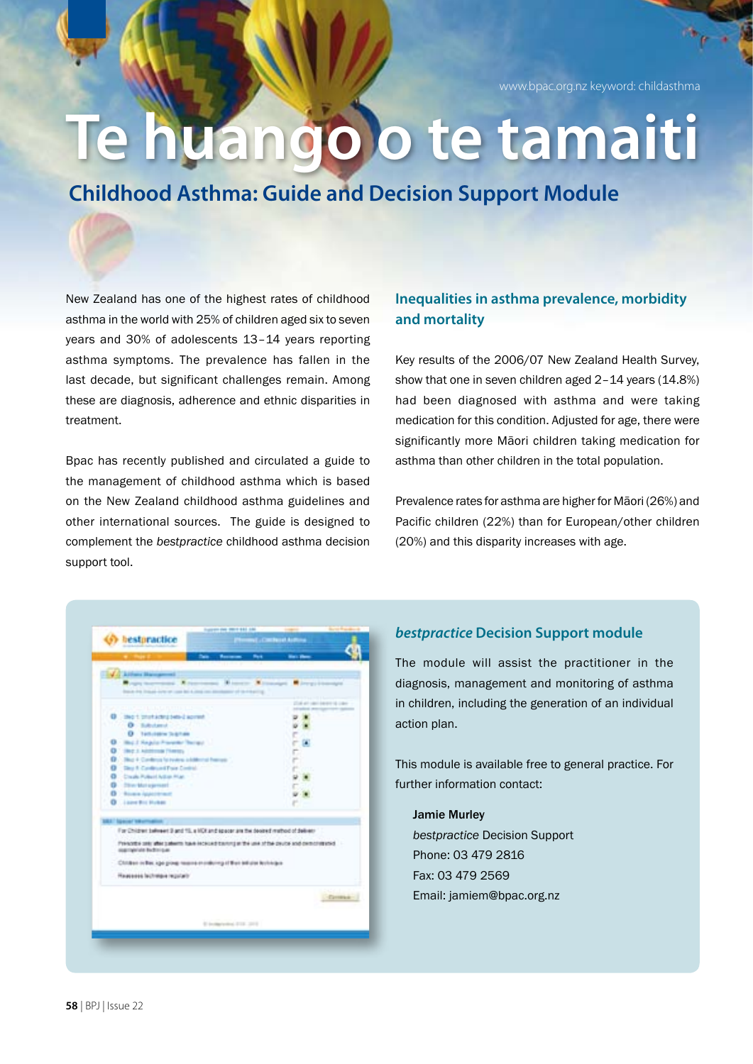www.bpac.org.nz keyword: childasthma

## **Te huango o te tamaiti**

**Childhood Asthma: Guide and Decision Support Module**

New Zealand has one of the highest rates of childhood asthma in the world with 25% of children aged six to seven years and 30% of adolescents 13–14 years reporting asthma symptoms. The prevalence has fallen in the last decade, but significant challenges remain. Among these are diagnosis, adherence and ethnic disparities in treatment.

Bpac has recently published and circulated a guide to the management of childhood asthma which is based on the New Zealand childhood asthma guidelines and other international sources. The guide is designed to complement the *bestpractice* childhood asthma decision support tool.

### **Inequalities in asthma prevalence, morbidity and mortality**

Key results of the 2006/07 New Zealand Health Survey, show that one in seven children aged 2–14 years (14.8%) had been diagnosed with asthma and were taking medication for this condition. Adjusted for age, there were significantly more Māori children taking medication for asthma than other children in the total population.

Prevalence rates for asthma are higher for Māori (26%) and Pacific children (22%) than for European/other children (20%) and this disparity increases with age.

| <b>CONTRACTOR</b>                                            | <b>Date: Personal</b>                                                               | <b>Post</b> | <b>Hart Beech</b>             |          |
|--------------------------------------------------------------|-------------------------------------------------------------------------------------|-------------|-------------------------------|----------|
| La Libera Bangaroni                                          |                                                                                     |             |                               |          |
|                                                              | Topy top-sons Attenuate Attenty Attacked Attentionage                               |             |                               |          |
|                                                              | and the first property can be a long on a measure of the highly                     |             |                               |          |
| .                                                            |                                                                                     |             | 2714 art van't keven van zawe |          |
| <b>Q</b> : Not protection per come                           |                                                                                     |             | --                            |          |
|                                                              | <b>O</b> Baltimore Control                                                          |             |                               |          |
| <b>O</b> Tellulating Suprises                                |                                                                                     |             |                               |          |
| <b>Q</b> - Inc. J. Regular Presenter Therapy                 |                                                                                     |             |                               |          |
| <b>Q</b> : like a Additional Plantey                         |                                                                                     |             |                               |          |
| <b>Q</b> . This 4 Continua for instead a billion of harrows: |                                                                                     |             |                               |          |
|                                                              | <b>Q</b> Sky 1 Cardinal Pain Certifi                                                |             |                               |          |
| <b>Q Create Pulsed Adopt Plan</b>                            |                                                                                     |             |                               |          |
| O Die Metoprisel                                             |                                                                                     |             |                               |          |
| <b>D</b> - Roome Applications                                |                                                                                     |             |                               |          |
| <b>O</b> Lane Ric Hotel                                      |                                                                                     |             |                               |          |
| <b>BAT Special Villantical Co.</b>                           |                                                                                     |             |                               |          |
|                                                              | For Children believer 3 and 15, a HDI and appear are the devised method of deliver- |             |                               |          |
|                                                              | Prenote anti-we salem have received to the use of the proteined central results.    |             |                               |          |
| significate bubinique.                                       |                                                                                     |             |                               |          |
|                                                              | Children or Bac 1ga group reserva in croboting of their anticipe both legal         |             |                               |          |
| Hausseles lachaige reputativ                                 |                                                                                     |             |                               |          |
|                                                              |                                                                                     |             |                               |          |
|                                                              |                                                                                     |             |                               | Contact: |
|                                                              |                                                                                     |             |                               |          |
|                                                              | E Instancement 2118, 2019.                                                          |             |                               |          |

#### *bestpractice* **Decision Support module**

The module will assist the practitioner in the diagnosis, management and monitoring of asthma in children, including the generation of an individual action plan.

This module is available free to general practice. For further information contact:

Jamie Murley *bestpractice* Decision Support Phone: 03 479 2816 Fax: 03 479 2569 Email: jamiem@bpac.org.nz